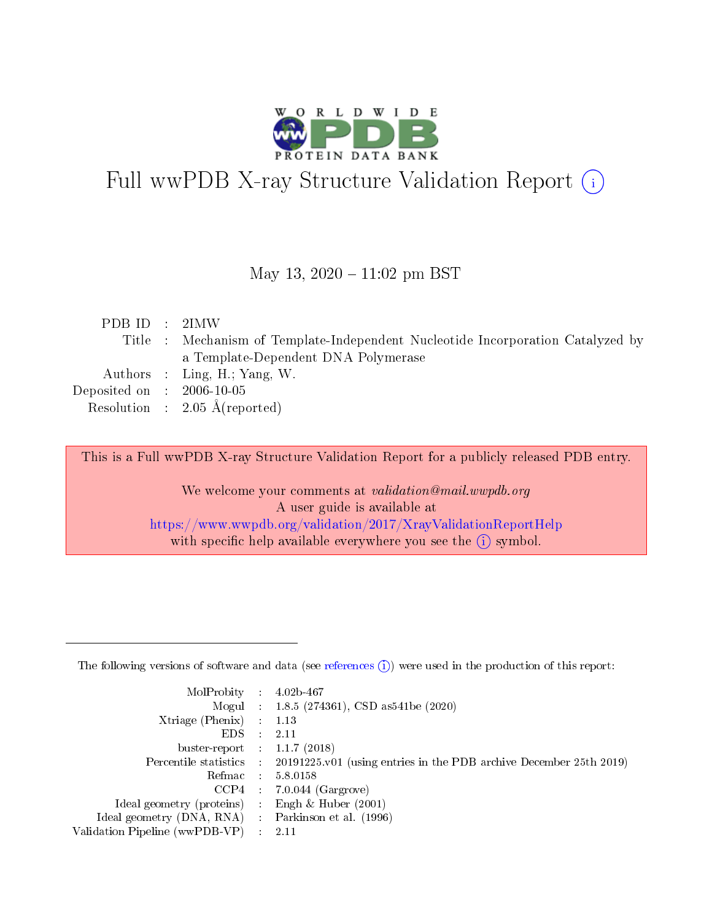

# Full wwPDB X-ray Structure Validation Report (i)

#### May 13,  $2020 - 11:02$  pm BST

| PDBID : 2IMW                |                                                                                 |
|-----------------------------|---------------------------------------------------------------------------------|
|                             | Title : Mechanism of Template-Independent Nucleotide Incorporation Catalyzed by |
|                             | a Template-Dependent DNA Polymerase                                             |
|                             | Authors : Ling, H.; Yang, W.                                                    |
| Deposited on : $2006-10-05$ |                                                                                 |
|                             | Resolution : $2.05 \text{ Å}$ (reported)                                        |

This is a Full wwPDB X-ray Structure Validation Report for a publicly released PDB entry.

We welcome your comments at validation@mail.wwpdb.org A user guide is available at <https://www.wwpdb.org/validation/2017/XrayValidationReportHelp> with specific help available everywhere you see the  $(i)$  symbol.

The following versions of software and data (see [references](https://www.wwpdb.org/validation/2017/XrayValidationReportHelp#references)  $(1)$ ) were used in the production of this report:

| MolProbity                     | $\mathcal{L}_{\rm{max}}$ | $4.02b - 467$                                                                |
|--------------------------------|--------------------------|------------------------------------------------------------------------------|
|                                |                          | Mogul : $1.8.5$ (274361), CSD as 541be (2020)                                |
| $X$ triage (Phenix) :          |                          | 1.13                                                                         |
| EDS.                           |                          | 2.11                                                                         |
| buster-report : $1.1.7$ (2018) |                          |                                                                              |
| Percentile statistics :        |                          | $20191225 \text{ v}01$ (using entries in the PDB archive December 25th 2019) |
| Refmac                         |                          | 5.8.0158                                                                     |
| $CCP4$ :                       |                          | $7.0.044$ (Gargrove)                                                         |
| Ideal geometry (proteins) :    |                          | Engh $\&$ Huber (2001)                                                       |
| Ideal geometry (DNA, RNA) :    |                          | Parkinson et al. (1996)                                                      |
| Validation Pipeline (wwPDB-VP) | $\mathcal{L}$            | -2.11                                                                        |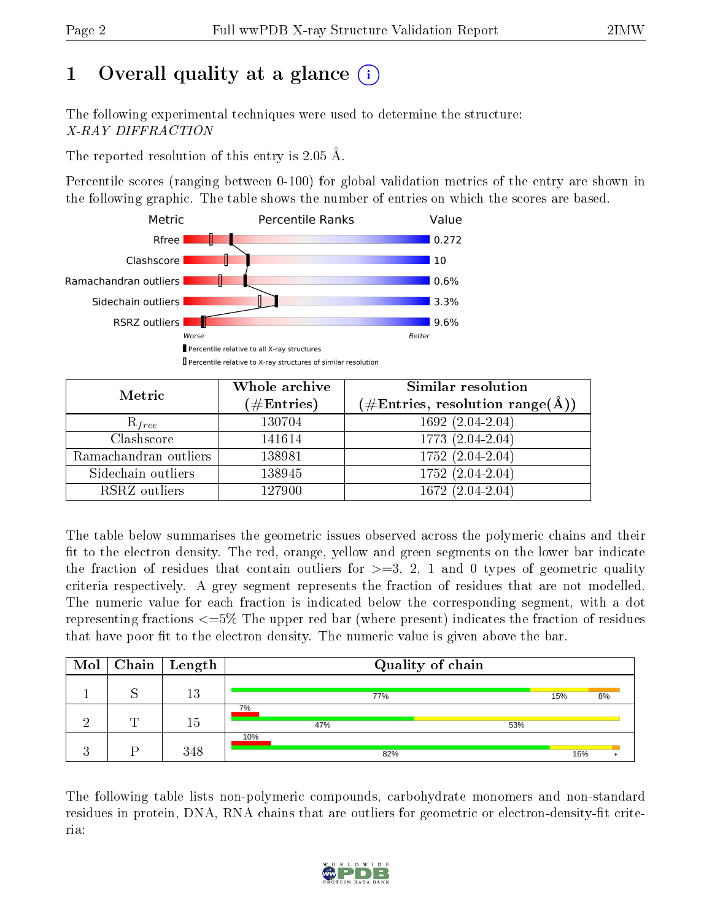# 1 [O](https://www.wwpdb.org/validation/2017/XrayValidationReportHelp#overall_quality)verall quality at a glance  $(i)$

The following experimental techniques were used to determine the structure: X-RAY DIFFRACTION

The reported resolution of this entry is 2.05 Å.

Percentile scores (ranging between 0-100) for global validation metrics of the entry are shown in the following graphic. The table shows the number of entries on which the scores are based.



| Metric                | Whole archive<br>$(\#\text{Entries})$ | Similar resolution<br>$(\#\text{Entries}, \text{resolution range}(\text{\AA}))$ |
|-----------------------|---------------------------------------|---------------------------------------------------------------------------------|
| $R_{free}$            | 130704                                | $1692(2.04-2.04)$                                                               |
| Clashscore            | 141614                                | 1773 (2.04-2.04)                                                                |
| Ramachandran outliers | 138981                                | $\overline{1752 (2.04-2.04)}$                                                   |
| Sidechain outliers    | 138945                                | 1752 (2.04-2.04)                                                                |
| RSRZ outliers         | 127900                                | $1672(2.04-2.04)$                                                               |

The table below summarises the geometric issues observed across the polymeric chains and their fit to the electron density. The red, orange, yellow and green segments on the lower bar indicate the fraction of residues that contain outliers for  $>=3, 2, 1$  and 0 types of geometric quality criteria respectively. A grey segment represents the fraction of residues that are not modelled. The numeric value for each fraction is indicated below the corresponding segment, with a dot representing fractions <=5% The upper red bar (where present) indicates the fraction of residues that have poor fit to the electron density. The numeric value is given above the bar.

| $\text{Mol}$ |   | $\vert$ Chain $\vert$ Length | Quality of chain        |     |     |
|--------------|---|------------------------------|-------------------------|-----|-----|
|              |   | 13                           | 77%                     | 15% | 8%  |
|              | ╓ | 15                           | $7\overline{\%}$<br>47% | 53% |     |
|              |   | 348                          | 10%<br>82%              |     | 16% |

The following table lists non-polymeric compounds, carbohydrate monomers and non-standard residues in protein, DNA, RNA chains that are outliers for geometric or electron-density-fit criteria:

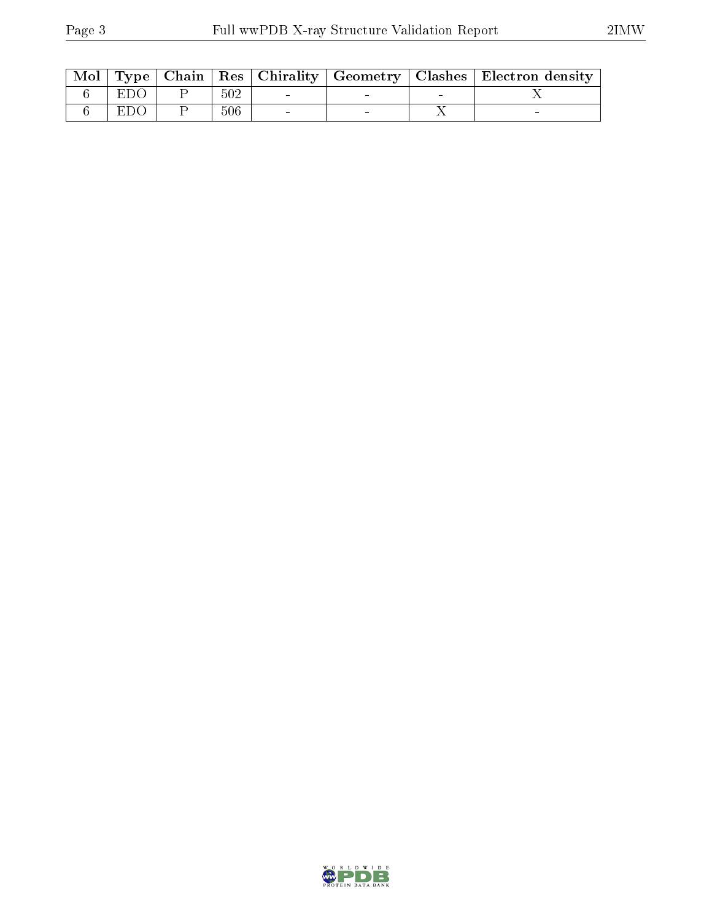|            |     |  | Mol   Type   Chain   Res   Chirality   Geometry   Clashes   Electron density |
|------------|-----|--|------------------------------------------------------------------------------|
| <b>EDO</b> | 502 |  |                                                                              |
| EDO        | 506 |  |                                                                              |

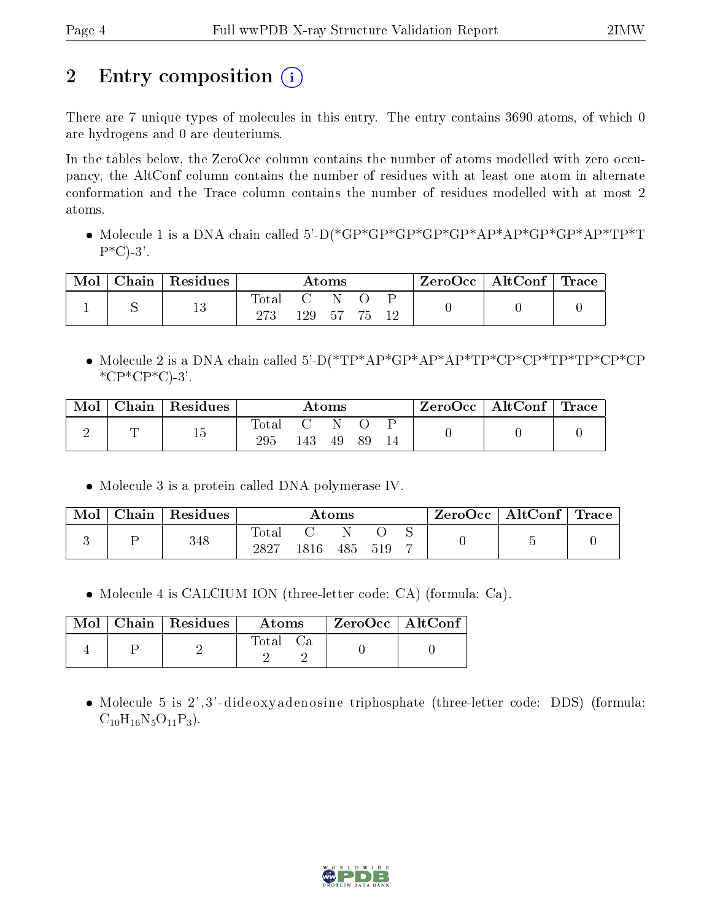# 2 Entry composition  $\left( \cdot \right)$

There are 7 unique types of molecules in this entry. The entry contains 3690 atoms, of which 0 are hydrogens and 0 are deuteriums.

In the tables below, the ZeroOcc column contains the number of atoms modelled with zero occupancy, the AltConf column contains the number of residues with at least one atom in alternate conformation and the Trace column contains the number of residues modelled with at most 2 atoms.

 Molecule 1 is a DNA chain called 5'-D(\*GP\*GP\*GP\*GP\*GP\*AP\*AP\*GP\*GP\*AP\*TP\*T  $P^{\ast}C$ )-3'.

| Mol | $\Box$ Chain   Residues | $\rm{Atoms}$ |            |         |  |  | $\text{ZeroOcc} \mid \text{AltConf} \mid \text{Trace}$ |  |
|-----|-------------------------|--------------|------------|---------|--|--|--------------------------------------------------------|--|
|     | 13                      | $\rm Total$  | C N<br>129 | - 57 75 |  |  |                                                        |  |

 Molecule 2 is a DNA chain called 5'-D(\*TP\*AP\*GP\*AP\*AP\*TP\*CP\*CP\*TP\*TP\*CP\*CP  $*$  $CP*CP*C$ -3'.

| Mol | Chain   Residues | $\rm{Atoms}$ |     |    |    |  | $\rm{ZeroOcc}$   $\rm{AltConf}$   $\rm{Trace}$ |  |
|-----|------------------|--------------|-----|----|----|--|------------------------------------------------|--|
|     | Γp               | Total<br>295 | 143 | 49 | 89 |  |                                                |  |

Molecule 3 is a protein called DNA polymerase IV.

| Mol | ∣ Chain | <sup>'</sup> Residues | $\rm{Atoms}$        |          |     |     | ZeroOcc | $\vert$ AltConf $\vert$ Trace $\vert$ |  |  |
|-----|---------|-----------------------|---------------------|----------|-----|-----|---------|---------------------------------------|--|--|
|     |         | 348                   | $\rm Total$<br>2827 | $1816\,$ | 485 | 519 |         |                                       |  |  |

Molecule 4 is CALCIUM ION (three-letter code: CA) (formula: Ca).

|  | $Mol$   Chain   Residues | Atoms | ZeroOcc   AltConf |  |
|--|--------------------------|-------|-------------------|--|
|  |                          | Total |                   |  |

• Molecule 5 is 2',3'-dideoxyadenosine triphosphate (three-letter code: DDS) (formula:  $C_{10}H_{16}N_5O_{11}P_3$ .

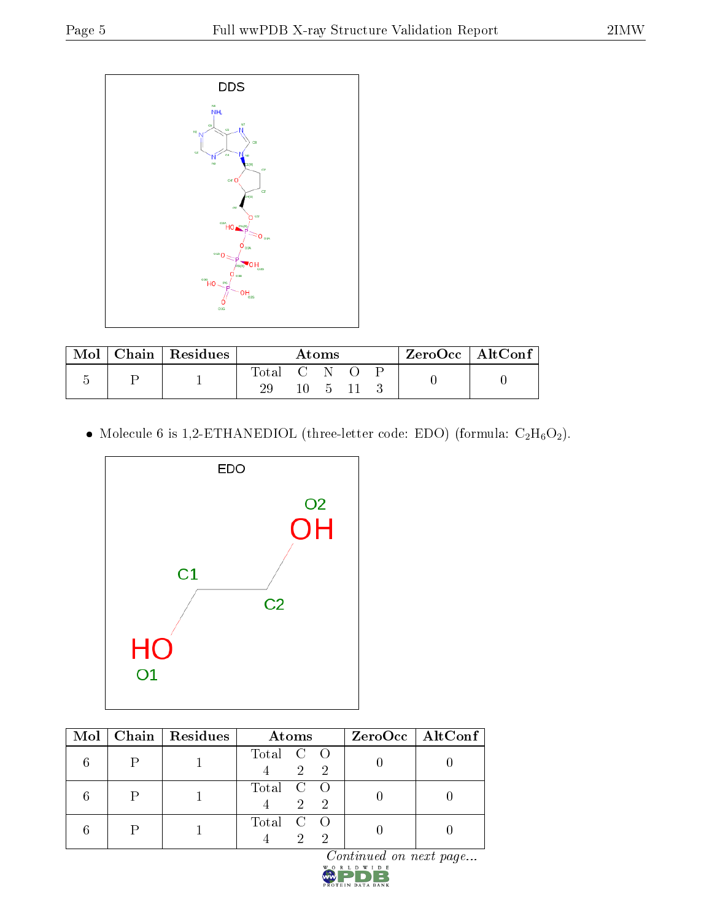

| Mol |  | $Chain   Residues$ | Atoms |         |  |  | ZeroOcc   AltConf |
|-----|--|--------------------|-------|---------|--|--|-------------------|
|     |  | Total C N .        |       |         |  |  |                   |
|     |  | 29                 |       | 10 5 11 |  |  |                   |

 $\bullet$  Molecule 6 is 1,2-ETHANEDIOL (three-letter code: EDO) (formula:  $\rm{C_2H_6O_2}).$ 



|  | Mol   Chain   Residues | Atoms                           | $ZeroOcc$   AltConf |
|--|------------------------|---------------------------------|---------------------|
|  |                        | Total C O<br>$\sqrt{2}$ 2       |                     |
|  |                        | Total C O<br>2 2                |                     |
|  |                        | Total C O<br>$\mathcal{D}$<br>റ |                     |

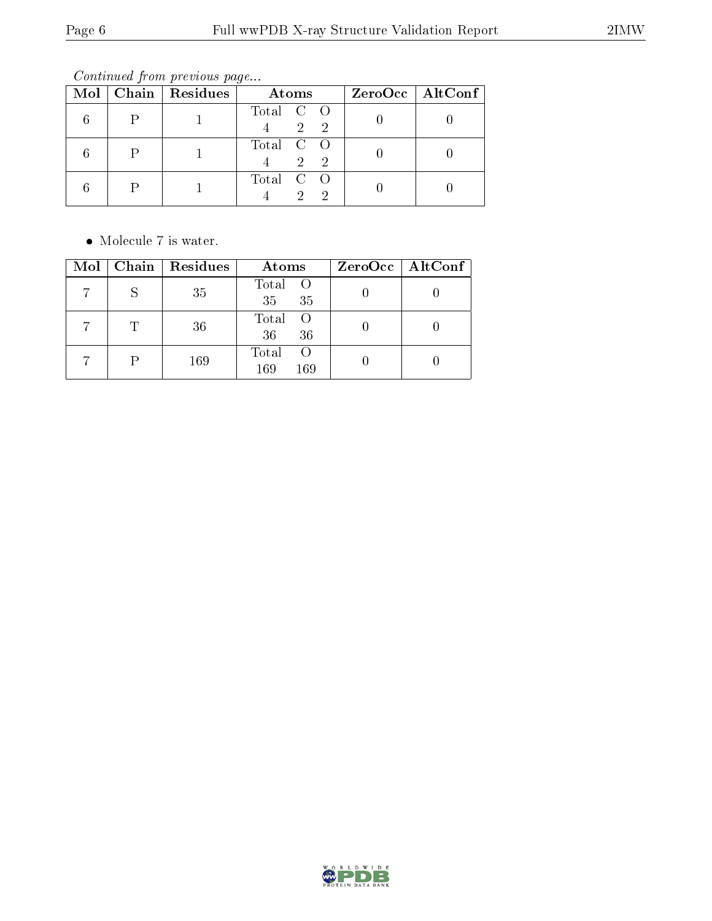Continued from previous page...

|  | Mol   Chain   Residues | Atoms                                    | $ZeroOcc \   \$ AltConf |
|--|------------------------|------------------------------------------|-------------------------|
|  |                        | Total C O<br>$\mathcal{D}_{\mathcal{L}}$ |                         |
|  |                        | Total C O<br>2 2                         |                         |
|  |                        | Total C O<br>$\mathcal{D}$               |                         |

 $\bullet\,$  Molecule 7 is water.

|  | $Mol$   Chain   Residues | Atoms                            | $ZeroOcc \mid AltConf \mid$ |
|--|--------------------------|----------------------------------|-----------------------------|
|  | 35                       | Total O<br>35 <sub>1</sub><br>35 |                             |
|  | 36                       | Total<br>- ()<br>36<br>36        |                             |
|  | 169                      | Total<br>169<br>169              |                             |

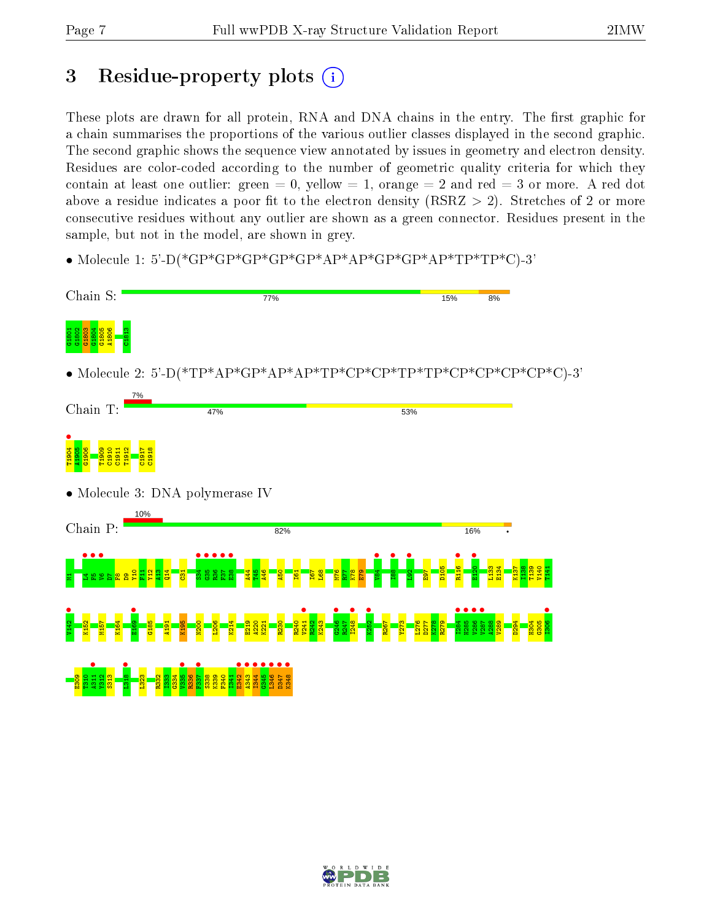## 3 Residue-property plots  $(i)$

These plots are drawn for all protein, RNA and DNA chains in the entry. The first graphic for a chain summarises the proportions of the various outlier classes displayed in the second graphic. The second graphic shows the sequence view annotated by issues in geometry and electron density. Residues are color-coded according to the number of geometric quality criteria for which they contain at least one outlier: green  $= 0$ , yellow  $= 1$ , orange  $= 2$  and red  $= 3$  or more. A red dot above a residue indicates a poor fit to the electron density (RSRZ  $> 2$ ). Stretches of 2 or more consecutive residues without any outlier are shown as a green connector. Residues present in the sample, but not in the model, are shown in grey.

• Molecule 1: 5'-D(\*GP\*GP\*GP\*GP\*GP\*AP\*AP\*GP\*GP\*AP\*TP\*TP\*C)-3'



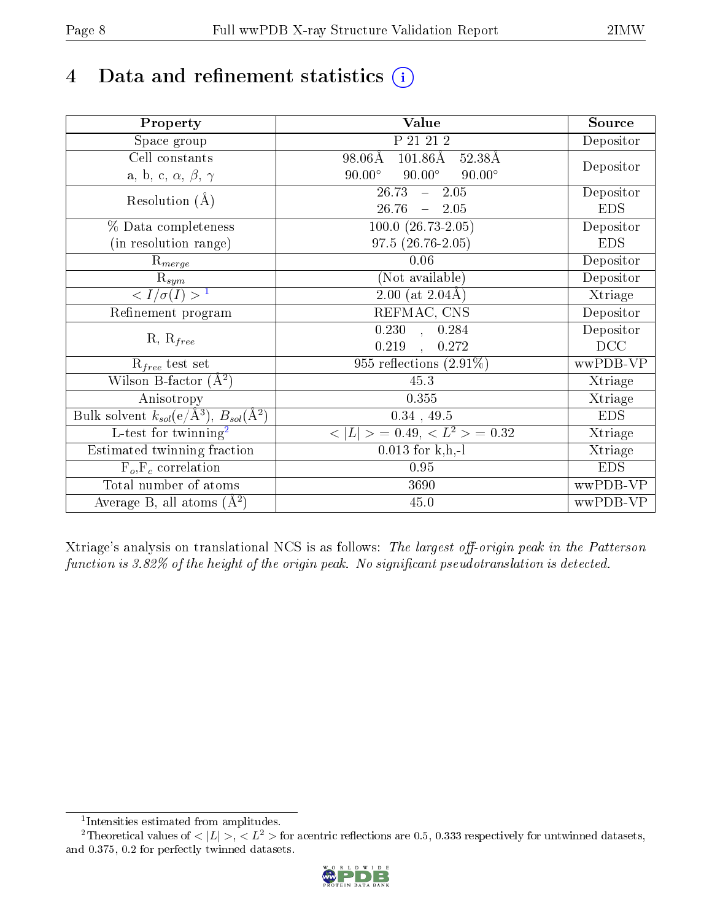# 4 Data and refinement statistics  $(i)$

| Property                                                             | Value                                             | Source     |
|----------------------------------------------------------------------|---------------------------------------------------|------------|
| Space group                                                          | P 21 21 2                                         | Depositor  |
| Cell constants                                                       | $101.86\text{\AA}$<br>$98.06\text{\AA}$<br>52.38Å |            |
| a, b, c, $\alpha$ , $\beta$ , $\gamma$                               | $90.00^\circ$<br>$90.00^\circ$<br>$90.00^\circ$   | Depositor  |
| Resolution $(A)$                                                     | 26.73<br>$-2.05$                                  | Depositor  |
|                                                                      | 26.76<br>$-2.05$                                  | <b>EDS</b> |
| % Data completeness                                                  | $100.0 (26.73 - 2.05)$                            | Depositor  |
| (in resolution range)                                                | $97.5(26.76-2.05)$                                | <b>EDS</b> |
| $\mathrm{R}_{merge}$                                                 | 0.06                                              | Depositor  |
| $\mathrm{R}_{sym}$                                                   | (Not available)                                   | Depositor  |
| $\sqrt{I/\sigma(I)} > 1$                                             | 2.00 (at $2.04\text{\AA}$ )                       | Xtriage    |
| Refinement program                                                   | REFMAC, CNS                                       | Depositor  |
|                                                                      | $0.230$ , $0.284$                                 | Depositor  |
| $R, R_{free}$                                                        | 0.219<br>$\overline{\phantom{a}}$<br>0.272        | DCC        |
| $R_{free}$ test set                                                  | 955 reflections $(2.91\%)$                        | wwPDB-VP   |
| Wilson B-factor $(A^2)$                                              | 45.3                                              | Xtriage    |
| Anisotropy                                                           | 0.355                                             | Xtriage    |
| Bulk solvent $k_{sol}(e/\mathring{A}^3)$ , $B_{sol}(\mathring{A}^2)$ | $0.34$ , 49.5                                     | <b>EDS</b> |
| $\overline{L-test for}$ twinning <sup>2</sup>                        | $< L >$ = 0.49, $< L^2 >$ = 0.32                  | Xtriage    |
| Estimated twinning fraction                                          | $0.013$ for k,h,-l                                | Xtriage    |
| $F_o, F_c$ correlation                                               | 0.95                                              | <b>EDS</b> |
| Total number of atoms                                                | 3690                                              | wwPDB-VP   |
| Average B, all atoms $(A^2)$                                         | 45.0                                              | wwPDB-VP   |

Xtriage's analysis on translational NCS is as follows: The largest off-origin peak in the Patterson function is  $3.82\%$  of the height of the origin peak. No significant pseudotranslation is detected.

<sup>&</sup>lt;sup>2</sup>Theoretical values of  $\langle |L| \rangle$ ,  $\langle L^2 \rangle$  for acentric reflections are 0.5, 0.333 respectively for untwinned datasets, and 0.375, 0.2 for perfectly twinned datasets.



<span id="page-7-1"></span><span id="page-7-0"></span><sup>1</sup> Intensities estimated from amplitudes.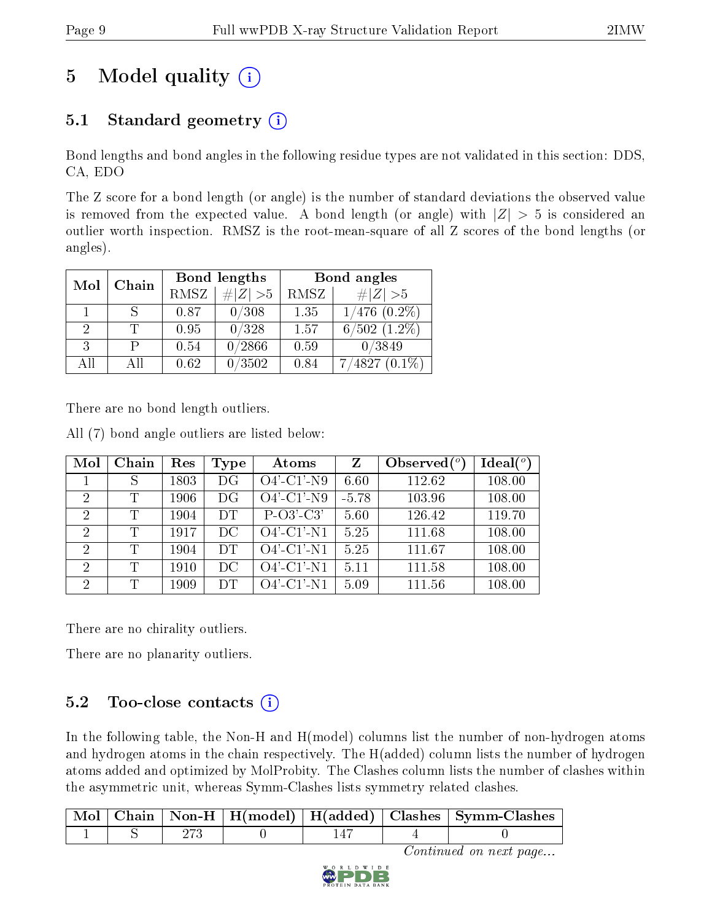# 5 Model quality  $(i)$

### 5.1 Standard geometry  $(i)$

Bond lengths and bond angles in the following residue types are not validated in this section: DDS, CA, EDO

The Z score for a bond length (or angle) is the number of standard deviations the observed value is removed from the expected value. A bond length (or angle) with  $|Z| > 5$  is considered an outlier worth inspection. RMSZ is the root-mean-square of all Z scores of the bond lengths (or angles).

|    | Mol<br>Chain | Bond lengths |             | Bond angles |                   |
|----|--------------|--------------|-------------|-------------|-------------------|
|    |              | <b>RMSZ</b>  | $\ Z\  > 5$ | RMSZ        | $\# Z  > 5$       |
|    |              | 0.87         | 0/308       | 1.35        | $1/476$ $(0.2\%)$ |
| 2  |              | 0.95         | 0/328       | 1.57        | $6/502$ $(1.2\%)$ |
| 3  |              | 0.54         | 0/2866      | 0.59        | 0/3849            |
| AĦ | ΑH           | 0.62         | 0/3502      | 0.84        | 4827              |

There are no bond length outliers.

All (7) bond angle outliers are listed below:

| Mol            | Chain | Res  | Type      | Atoms         | $\mathbf{Z}$ | Observed $(°)$ | Ideal $(°)$ |
|----------------|-------|------|-----------|---------------|--------------|----------------|-------------|
|                |       | 1803 | DG        | $O4'$ -C1'-N9 | 6.60         | 112.62         | 108.00      |
| $\mathcal{D}$  | T     | 1906 | DG        | $O4'$ -C1'-N9 | $-5.78$      | 103.96         | 108.00      |
| 2              | Τ     | 1904 | <b>DT</b> | $P-O3'-C3'$   | 5.60         | 126.42         | 119.70      |
| 2              | Т     | 1917 | DC        | $O4'$ -C1'-N1 | 5.25         | 111.68         | 108.00      |
| $\overline{2}$ | T     | 1904 | DT        | $O4'$ -C1'-N1 | 5.25         | 111.67         | 108.00      |
| $\mathcal{D}$  | T     | 1910 | DC        | $O4'$ -C1'-N1 | 5.11         | 111.58         | 108.00      |
| $\overline{2}$ | Ͳ     | 1909 | DT        | $O4'$ -C1'-N1 | 5.09         | 111.56         | 108.00      |

There are no chirality outliers.

There are no planarity outliers.

### $5.2$  Too-close contacts  $(i)$

In the following table, the Non-H and H(model) columns list the number of non-hydrogen atoms and hydrogen atoms in the chain respectively. The H(added) column lists the number of hydrogen atoms added and optimized by MolProbity. The Clashes column lists the number of clashes within the asymmetric unit, whereas Symm-Clashes lists symmetry related clashes.

|  |  |  | Mol   Chain   Non-H   H(model)   H(added)   Clashes   Symm-Clashes |
|--|--|--|--------------------------------------------------------------------|
|  |  |  |                                                                    |

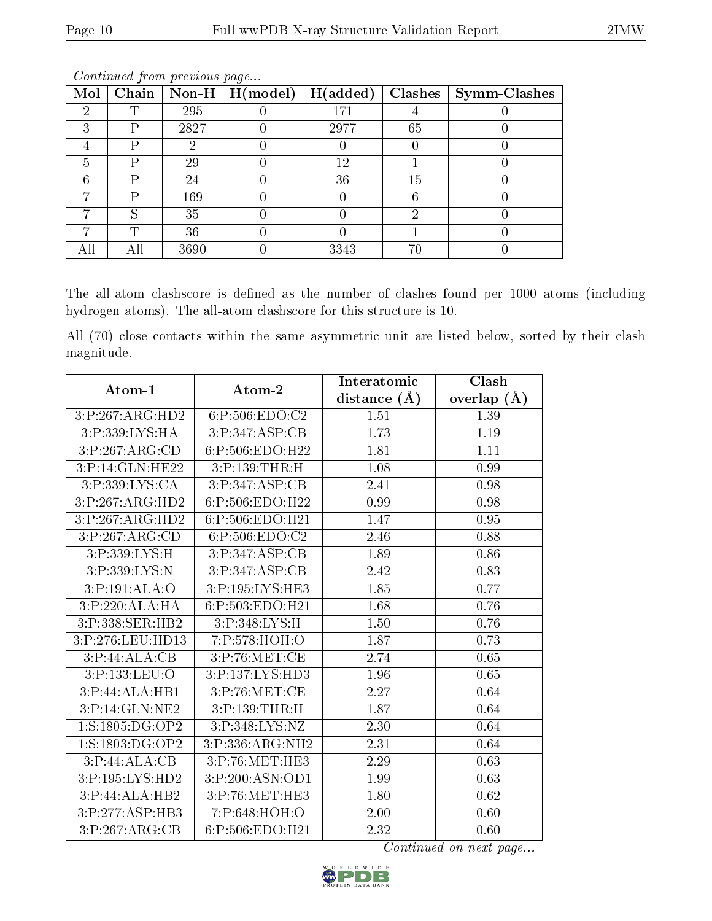| Mol | Chain | Non-H $\vert$ | H (model) | H(added) |    | Clashes   Symm-Clashes |
|-----|-------|---------------|-----------|----------|----|------------------------|
|     |       | 295           |           | 171      |    |                        |
| 2   | D     | 2827          |           | 2977     | 65 |                        |
|     | D     |               |           |          |    |                        |
| 5   | D     | 29            |           | 12       |    |                        |
|     | P     | 24            |           | 36       | 15 |                        |
|     | D     | 169           |           |          |    |                        |
|     | S     | 35            |           |          | 6) |                        |
|     |       | 36            |           |          |    |                        |
|     |       | 3690          |           | 3343     | 70 |                        |

The all-atom clashscore is defined as the number of clashes found per 1000 atoms (including hydrogen atoms). The all-atom clashscore for this structure is 10.

All (70) close contacts within the same asymmetric unit are listed below, sorted by their clash magnitude.

| Atom-1                       | Atom-2             | Interatomic      | Clash         |
|------------------------------|--------------------|------------------|---------------|
|                              |                    | distance $(\AA)$ | overlap $(A)$ |
| 3:P:267:ARG:HD2              | 6:P:506:EDO:C2     | $1.51\,$         | 1.39          |
| 3:P:339:LYS:HA               | 3:P:347:ASP:CB     | 1.73             | 1.19          |
| 3:P:267:ARG:CD               | 6:P:506:EDO:H22    | 1.81             | 1.11          |
| $3:P:14:GLN:\overline{HE22}$ | 3:P:139:THR:H      | 1.08             | 0.99          |
| 3:P:339:LYS:CA               | 3:P:347:ASP:CB     | 2.41             | 0.98          |
| 3:P:267:ARG:HD2              | 6:P:506:EDO:H22    | 0.99             | 0.98          |
| 3:P:267:ARG:HD2              | 6:P:506:EDO:H21    | 1.47             | 0.95          |
| 3:P:267:ARG:CD               | 6:P:506:EDO:C2     | 2.46             | 0.88          |
| 3:P:339:LYS:H                | 3:P:347:ASP:CB     | 1.89             | 0.86          |
| 3:P:339:LYS:N                | 3:P:347:ASP:CB     | 2.42             | 0.83          |
| 3:P:191:ALA:O                | 3:P:195:LYS:HE3    | 1.85             | 0.77          |
| 3:P:220:ALA:HA               | 6:P:503:EDO:H21    | 1.68             | 0.76          |
| 3:P:338:SER:HB2              | 3:P:348:LYS:H      | $1.50\,$         | 0.76          |
| 3:P:276:LEU:HD13             | 7:P:578:HOH:O      | 1.87             | 0.73          |
| 3: P:44: ALA:CB              | 3:P:76:MET:CE      | 2.74             | 0.65          |
| 3:P:133:LEU:O                | 3: P:137: LYS: HD3 | 1.96             | 0.65          |
| 3:P:44:ALA:HB1               | 3:P:76:MET:CE      | 2.27             | 0.64          |
| 3:P:14:GLN:NE2               | 3:P:139:THR:H      | 1.87             | 0.64          |
| 1: S: 1805: DG: OP2          | 3:P:348:LYS:NZ     | 2.30             | 0.64          |
| 1: S: 1803: DG: OP2          | 3:P:336:ARG:NH2    | 2.31             | 0.64          |
| 3: P:44: ALA:CB              | 3:P:76:MET:HE3     | 2.29             | 0.63          |
| 3:P:195:LYS:HD2              | 3:P:200:ASN:OD1    | 1.99             | 0.63          |
| 3:P:44:ALA:HB2               | 3:P:76:MET:HE3     | 1.80             | 0.62          |
| 3:P:277:ASP:HB3              | 7:P:648:HOH:O      | 2.00             | 0.60          |
| 3:P:267:ARG:CB               | 6:P:506:EDO:H21    | 2.32             | 0.60          |

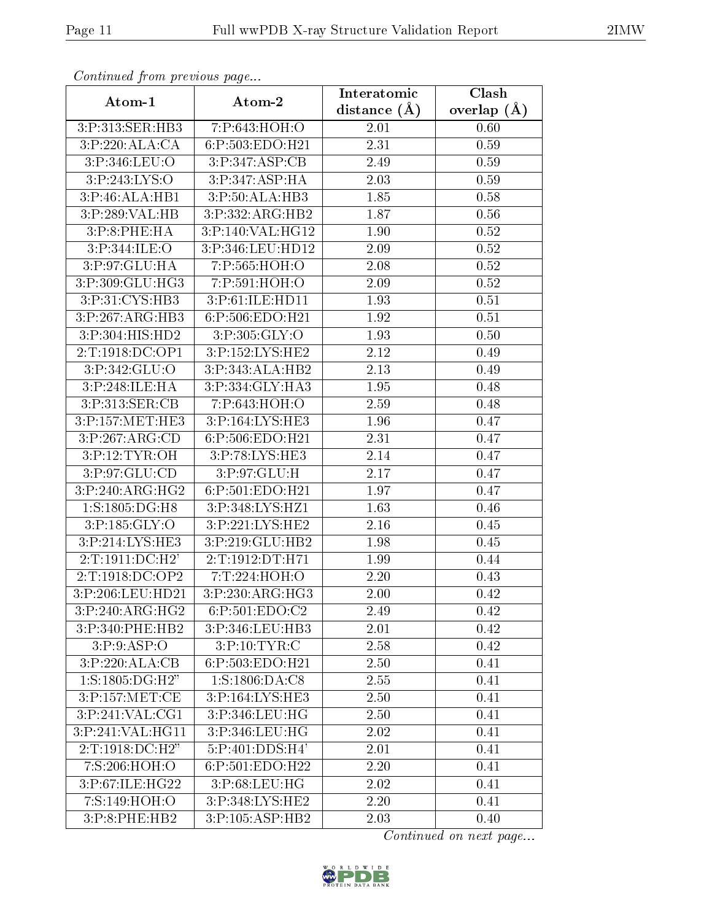| Communica from previous page |                    | Interatomic       | Clash         |  |
|------------------------------|--------------------|-------------------|---------------|--|
| Atom-1                       | Atom-2             | distance $(A)$    | overlap $(A)$ |  |
| 3:P:313:SER:HB3              | 7:P:643:HOH:O      | 2.01              | 0.60          |  |
| 3:P:220:ALA:CA               | 6:P:503:EDO:H21    | $\overline{2.31}$ | 0.59          |  |
| 3:P:346:LEU:O                | 3: P: 347: ASP: CB | 2.49              | 0.59          |  |
| 3:P:243:LYS:O                | 3:P:347:ASP:HA     | 2.03              | 0.59          |  |
| 3:P:46:ALA:HB1               | 3:P:50:ALA:HB3     | 1.85              | 0.58          |  |
| 3:P:289:VAL:HB               | 3:P:332:ARG:HB2    | 1.87              | 0.56          |  |
| 3:P:8:PHE:HA                 | 3:P:140:VAL:HG12   | 1.90              | 0.52          |  |
| 3:P:344:ILE:O                | 3:P:346:LEU:HD12   | 2.09              | 0.52          |  |
| 3:P:97:GLU:HA                | 7:P:565:HOH:O      | 2.08              | 0.52          |  |
| 3:P:309:GLU:HG3              | 7:P:591:HOH:O      | 2.09              | 0.52          |  |
| 3:P:31:CYS:HB3               | 3:P:61:ILE:HD11    | 1.93              | $0.51\,$      |  |
| 3:P:267:ARG:HB3              | 6:P:506:EDO:H21    | 1.92              | 0.51          |  |
| 3:P:304:HIS:HD2              | 3:P:305:GLY:O      | 1.93              | 0.50          |  |
| 2:T:1918:DC:OP1              | 3:P:152:LYS:HE2    | 2.12              | 0.49          |  |
| 3:P:342:GLU:O                | 3:P:343:ALA:HB2    | 2.13              | 0.49          |  |
| 3:P:248:ILE:HA               | 3:P:334:GLY:HA3    | 1.95              | 0.48          |  |
| 3:P:313:SER:CB               | 7:P:643:HOH:O      | 2.59              | 0.48          |  |
| 3:P:157:MET:HE3              | 3:P:164:LYS:HE3    | 1.96              | 0.47          |  |
| 3:P:267:ARG:CD               | 6:P:506:EDO:H21    | 2.31              | 0.47          |  |
| 3:P:12:TYR:OH                | 3:P:78:LYS:HE3     | 2.14              | 0.47          |  |
| 3:P:97:GLU:CD                | 3:P:97:GLU:H       | 2.17              | 0.47          |  |
| 3:P:240:ARG:HG2              | 6:P:501:EDO:H21    | 1.97              | 0.47          |  |
| 1:S:1805:DG:H8               | 3:P:348:LYS:HZ1    | 1.63              | 0.46          |  |
| 3:P:185:GLY:O                | 3:P:221:LYS:HE2    | 2.16              | 0.45          |  |
| 3:P:214:LYS:HE3              | 3:P:219:GLU:HB2    | 1.98              | 0.45          |  |
| 2:T:1911:DC:H2'              | 2:T:1912:DT:H71    | 1.99              | 0.44          |  |
| 2:T:1918:DC:OP2              | 7:T:224:HOH:O      | 2.20              | 0.43          |  |
| 3:P:206:LEU:HD21             | 3:P:230:ARG:HG3    | 2.00              | 0.42          |  |
| 3:P:240:ARG:HG2              | 6:P:501:EDO:C2     | 2.49              | 0.42          |  |
| 3:P:340:PHE:HB2              | 3:P:346:LEU:HB3    | 2.01              | 0.42          |  |
| 3:P:9:ASP:O                  | 3: P:10: TYR: C    | 2.58              | 0.42          |  |
| 3:P:220:ALA:CB               | 6:P:503:EDO:H21    | 2.50              | 0.41          |  |
| 1: S: 1805: DG:H2"           | 1:S:1806:DA:C8     | 2.55              | 0.41          |  |
| 3:P:157:MET:CE               | 3:P:164:LYS:HE3    | 2.50              | 0.41          |  |
| 3:P:241:VAL:CG1              | 3:P:346:LEU:HG     | 2.50              | 0.41          |  |
| 3:P:241:VAL:HG11             | 3:P:346:LEU:HG     | 2.02              | 0.41          |  |
| 2:T:1918:DC:H2"              | 5:P:401:DDS:H4'    | 2.01              | 0.41          |  |
| 7:S:206:HOH:O                | 6:P:501:EDO:H22    | $2.\overline{20}$ | 0.41          |  |
| 3:P:67:ILE:HG22              | 3: P:68:LEU:HG     | 2.02              | 0.41          |  |
| 7:S:149:HOH:O                | 3:P:348:LYS:HE2    | 2.20              | 0.41          |  |
| 3:P:8:PHE:HB2                | 3:P:105:ASP:HB2    | 2.03              | 0.40          |  |

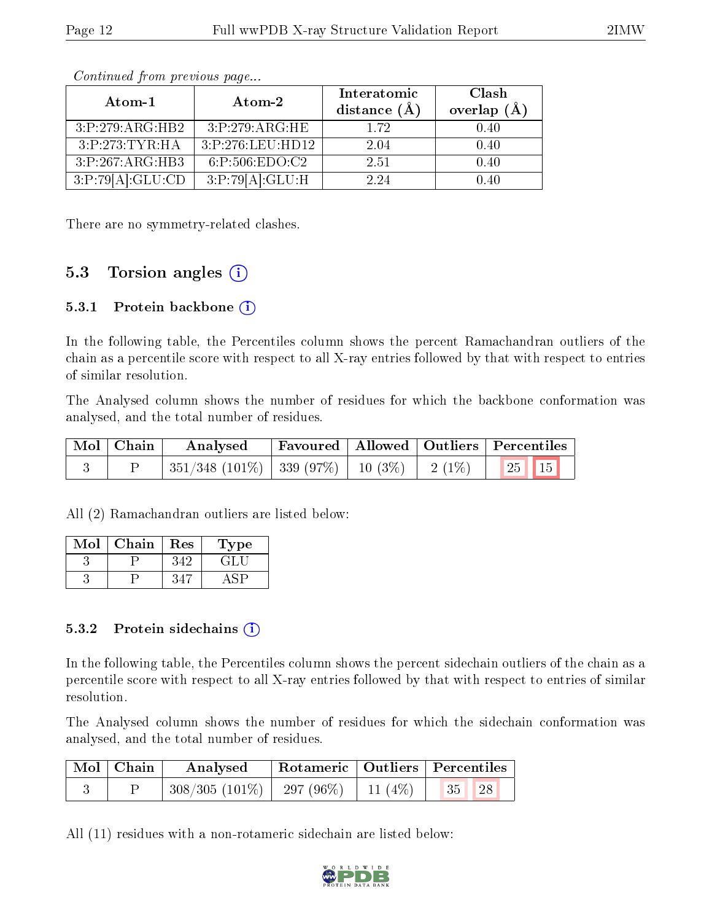| Atom- $1$        | $\boldsymbol{\mathrm{Atom}\text{-}2}$ | Interatomic<br>distance $(\AA)$ | Clash<br>overlap $(\AA)$ |
|------------------|---------------------------------------|---------------------------------|--------------------------|
| 3:P:279:ARG:HB2  | 3:P:279:ARG:HE                        | 1.72                            | 0.40                     |
| 3:P:273:TYR:HA   | 3:P:276:LEU:HD12                      | 2.04                            | 0.40                     |
| 3:P:267:ARG:HB3  | 6:P:506:EDO:C2                        | 2.51                            | 0.40                     |
| 3:P:79[A]:GLU:CD | 3:P:79[A]:GLU:H                       | 2.24                            | 0.40                     |

There are no symmetry-related clashes.

### 5.3 Torsion angles (i)

#### 5.3.1 Protein backbone  $(i)$

In the following table, the Percentiles column shows the percent Ramachandran outliers of the chain as a percentile score with respect to all X-ray entries followed by that with respect to entries of similar resolution.

The Analysed column shows the number of residues for which the backbone conformation was analysed, and the total number of residues.

| Mol   Chain | Analysed                                            | Favoured   Allowed   Outliers   Percentiles |  |                         |  |
|-------------|-----------------------------------------------------|---------------------------------------------|--|-------------------------|--|
|             | $351/348$ (101\%)   339 (97\%)   10 (3\%)   2 (1\%) |                                             |  | $\vert$ 25   15 $\vert$ |  |

All (2) Ramachandran outliers are listed below:

| Mol | Chain | Res | Type |
|-----|-------|-----|------|
|     |       |     |      |
|     |       |     |      |

#### 5.3.2 Protein sidechains  $\left( \mathbf{i} \right)$

In the following table, the Percentiles column shows the percent sidechain outliers of the chain as a percentile score with respect to all X-ray entries followed by that with respect to entries of similar resolution.

The Analysed column shows the number of residues for which the sidechain conformation was analysed, and the total number of residues.

| $\mid$ Mol $\mid$ Chain | Analysed                           |           | Rotameric   Outliers   Percentiles |  |
|-------------------------|------------------------------------|-----------|------------------------------------|--|
|                         | $308/305$ $(101\%)$   297 $(96\%)$ | 11 $(4%)$ | 35<br>28                           |  |

All (11) residues with a non-rotameric sidechain are listed below:

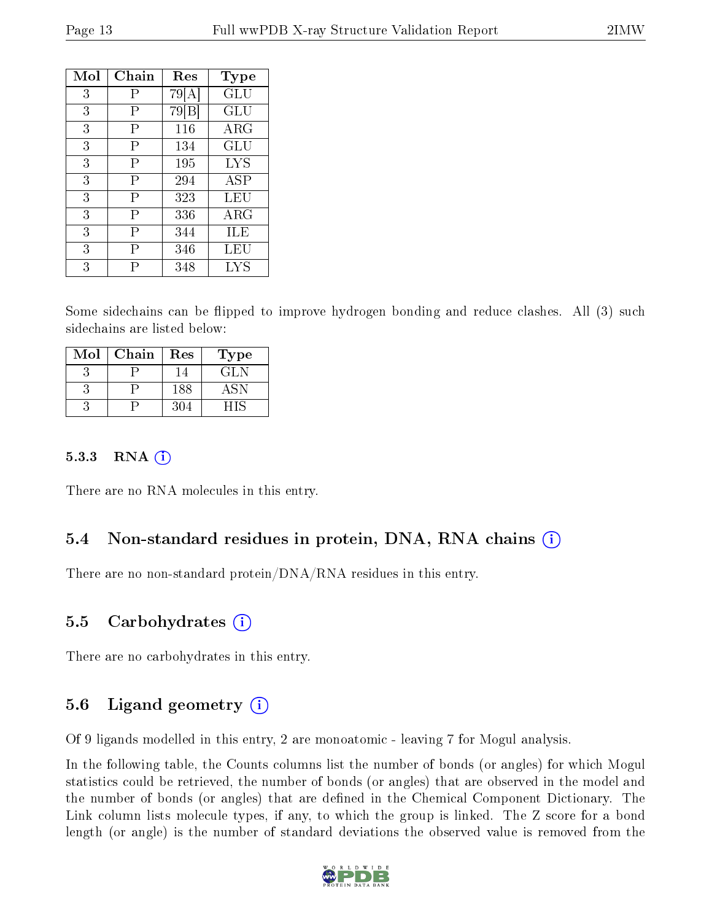| Mol | Chain | Res   | Type        |
|-----|-------|-------|-------------|
| 3   | P     | 79 A  | ${\rm GLU}$ |
| 3   | Ρ     | 79[B] | GLU         |
| 3   | Ρ     | 116   | $\rm{ARG}$  |
| 3   | P     | 134   | GLU         |
| 3   | Р     | 195   | LYS         |
| 3   | Р     | 294   | <b>ASP</b>  |
| 3   | Р     | 323   | LEU         |
| 3   | P     | 336   | ${\rm ARG}$ |
| 3   | Р     | 344   | ШE          |
| 3   | Ρ     | 346   | LEU         |
| 3   | Р     | 348   | LYS         |

Some sidechains can be flipped to improve hydrogen bonding and reduce clashes. All (3) such sidechains are listed below:

| Mol | Chain | Res | Type |
|-----|-------|-----|------|
|     |       |     | GLN  |
|     |       | 188 | ASN  |
|     |       | 304 |      |

#### $5.3.3$  RNA  $(i)$

There are no RNA molecules in this entry.

#### 5.4 Non-standard residues in protein, DNA, RNA chains (i)

There are no non-standard protein/DNA/RNA residues in this entry.

#### 5.5 Carbohydrates (i)

There are no carbohydrates in this entry.

#### 5.6 Ligand geometry  $(i)$

Of 9 ligands modelled in this entry, 2 are monoatomic - leaving 7 for Mogul analysis.

In the following table, the Counts columns list the number of bonds (or angles) for which Mogul statistics could be retrieved, the number of bonds (or angles) that are observed in the model and the number of bonds (or angles) that are defined in the Chemical Component Dictionary. The Link column lists molecule types, if any, to which the group is linked. The Z score for a bond length (or angle) is the number of standard deviations the observed value is removed from the

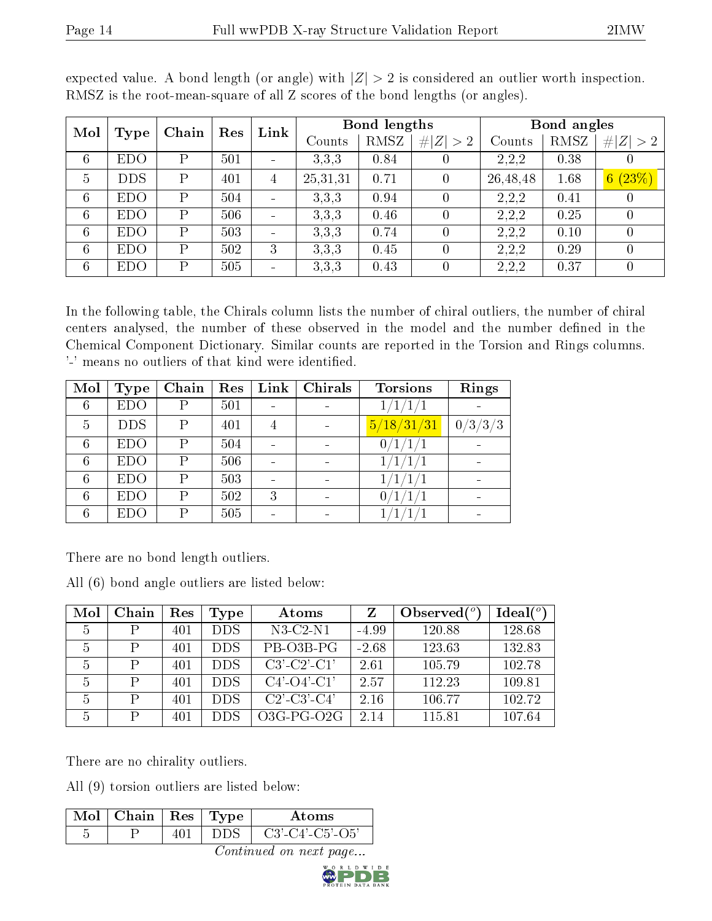| Mol             | Chain<br>Type |              | Res | Link | Bond lengths |        |          | Bond angles |        |                |             |
|-----------------|---------------|--------------|-----|------|--------------|--------|----------|-------------|--------|----------------|-------------|
|                 |               |              |     |      |              | Counts | RMSZ     | # $ Z  > 2$ | Counts | RMSZ           | # $ Z  > 2$ |
| $6\phantom{.}6$ | <b>EDO</b>    | D            | 501 |      | 3.3.3        | 0.84   |          | 2.2.2       | 0.38   | $\theta$       |             |
| 5               | <b>DDS</b>    | $\mathsf{P}$ | 401 | 4    | 25, 31, 31   | 0.71   | $\theta$ | 26,48,48    | 1.68   | 6(23%)         |             |
| $6\phantom{.}6$ | <b>EDO</b>    | D            | 504 |      | 3,3,3        | 0.94   |          | 2.2.2       | 0.41   | 0              |             |
| $6\phantom{.}6$ | <b>EDO</b>    | D            | 506 |      | 3,3,3        | 0.46   |          | 2.2.2       | 0.25   | 0              |             |
| $6\phantom{.}6$ | <b>EDO</b>    | $\mathbf{P}$ | 503 |      | 3.3.3        | 0.74   |          | 2.2.2       | 0.10   | 0              |             |
| $6\phantom{.}6$ | <b>EDO</b>    | D            | 502 | 3    | 3,3,3        | 0.45   |          | 2.2.2       | 0.29   | 0              |             |
| $6\phantom{.}6$ | <b>EDO</b>    | D            | 505 |      | 3.3.3        | 0.43   |          | 2.2.2       | 0.37   | $\overline{0}$ |             |

expected value. A bond length (or angle) with  $|Z| > 2$  is considered an outlier worth inspection. RMSZ is the root-mean-square of all Z scores of the bond lengths (or angles).

In the following table, the Chirals column lists the number of chiral outliers, the number of chiral centers analysed, the number of these observed in the model and the number defined in the Chemical Component Dictionary. Similar counts are reported in the Torsion and Rings columns. '-' means no outliers of that kind were identified.

| Mol | <b>Type</b> | Chain | Res | $\mathop{\rm Link}\nolimits$ | Chirals | <b>Torsions</b>     | Rings   |
|-----|-------------|-------|-----|------------------------------|---------|---------------------|---------|
| 6   | <b>EDO</b>  | Ρ     | 501 |                              |         | $\frac{1}{1}$<br>1/ |         |
| 5   | <b>DDS</b>  | Ρ     | 401 | 4                            |         | 5/18/31/31          | 0/3/3/3 |
| 6   | <b>EDO</b>  | P     | 504 |                              |         | 0/1/1/1             |         |
| 6   | <b>EDO</b>  | P     | 506 |                              |         |                     |         |
| 6   | <b>EDO</b>  | P     | 503 |                              |         |                     |         |
| 6   | <b>EDO</b>  | P     | 502 | 3                            |         | 0                   |         |
| 6   | <b>EDO</b>  | P     | 505 |                              |         |                     |         |

There are no bond length outliers.

All (6) bond angle outliers are listed below:

| Mol | Chain | Res | <b>Type</b> | Atoms                 |         | Observed $\binom{o}{c}$ | Ideal(°) |
|-----|-------|-----|-------------|-----------------------|---------|-------------------------|----------|
| 5   | Ρ     | 401 | <b>DDS</b>  | $N3-C2-N1$            | -4.99   | 120.88                  | 128.68   |
| 5   | P     | 401 | <b>DDS</b>  | PB O3B-PG             | $-2.68$ | 123.63                  | 132.83   |
| 5   | P     | 401 | <b>DDS</b>  | $C3'-C2'-C1'$         | 2.61    | 105.79                  | 102.78   |
| 5   | P     | 401 | <b>DDS</b>  | $C4'$ - $O4'$ - $C1'$ | 2.57    | 112.23                  | 109.81   |
| 5   | P     | 401 | <b>DDS</b>  | $C2'$ - $C3'$ - $C4'$ | 2.16    | 106.77                  | 102.72   |
| 5   | P     | 401 | DDS         | $O3G-PG-O2G$          | 2.14    | 115.81                  | 107.64   |

There are no chirality outliers.

All (9) torsion outliers are listed below:

| Mol | Chain | Res   Type | Atoms                         |
|-----|-------|------------|-------------------------------|
|     |       |            | $C3'$ - $C4'$ - $C5'$ - $O5'$ |

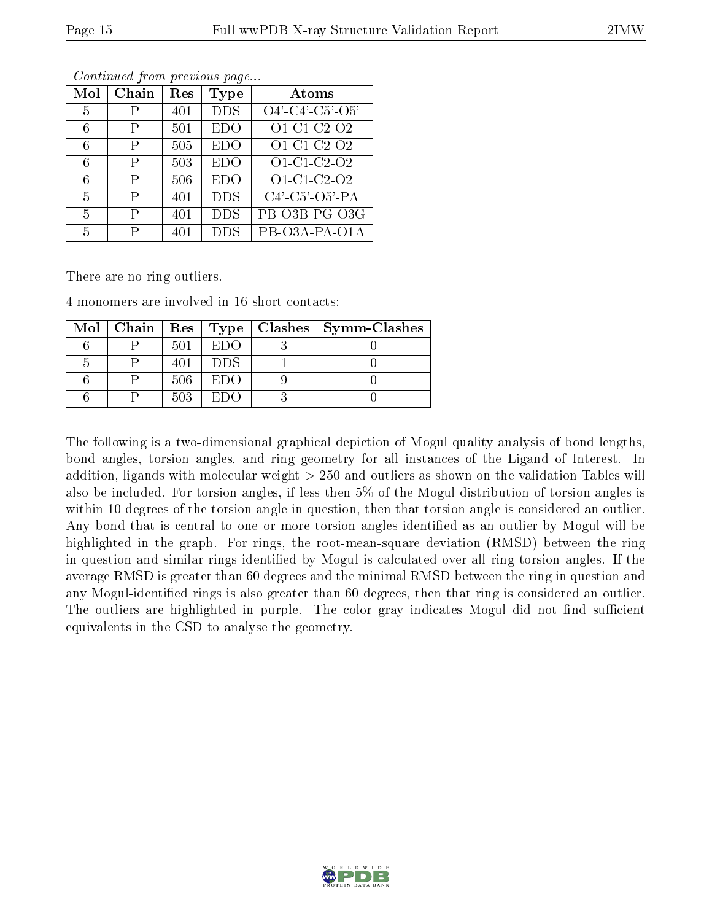| Mol | Chain | $\operatorname{Res}% \left( \mathcal{N}\right) \equiv\operatorname{Res}(\mathcal{N}_{0})\cap\mathcal{N}_{1}$ | Type       | $\rm{Atoms}$                       |
|-----|-------|--------------------------------------------------------------------------------------------------------------|------------|------------------------------------|
| 5   | Ρ     | 401                                                                                                          | <b>DDS</b> | $\overline{O4' - C4' - C5' - O5'}$ |
| 6   | P     | 501                                                                                                          | <b>EDO</b> | O1-C1-C2-O2                        |
| 6   | Ρ     | 505                                                                                                          | <b>EDO</b> | O1-C1-C2-O2                        |
| 6   | Ρ     | 503                                                                                                          | <b>EDO</b> | O1-C1-C2-O2                        |
| 6   | P     | 506                                                                                                          | <b>EDO</b> | $O1-C1-C2O2$                       |
| 5   | Р     | 401                                                                                                          | <b>DDS</b> | $C4'$ - $C5'$ - $O5'$ - $PA$       |
| 5   | Р     | 401                                                                                                          | <b>DDS</b> | PB-O3B-PG-O3G                      |
| 5   | Р     | 401                                                                                                          | <b>DDS</b> | PB-O3A-PA-O1A                      |

There are no ring outliers.

4 monomers are involved in 16 short contacts:

|  |     |      | Mol   Chain   Res   Type   Clashes   Symm-Clashes |
|--|-----|------|---------------------------------------------------|
|  | 501 | EDO  |                                                   |
|  |     | DDS. |                                                   |
|  | 506 | EDO  |                                                   |
|  | 503 | ET)O |                                                   |

The following is a two-dimensional graphical depiction of Mogul quality analysis of bond lengths, bond angles, torsion angles, and ring geometry for all instances of the Ligand of Interest. In addition, ligands with molecular weight > 250 and outliers as shown on the validation Tables will also be included. For torsion angles, if less then 5% of the Mogul distribution of torsion angles is within 10 degrees of the torsion angle in question, then that torsion angle is considered an outlier. Any bond that is central to one or more torsion angles identified as an outlier by Mogul will be highlighted in the graph. For rings, the root-mean-square deviation (RMSD) between the ring in question and similar rings identified by Mogul is calculated over all ring torsion angles. If the average RMSD is greater than 60 degrees and the minimal RMSD between the ring in question and any Mogul-identified rings is also greater than 60 degrees, then that ring is considered an outlier. The outliers are highlighted in purple. The color gray indicates Mogul did not find sufficient equivalents in the CSD to analyse the geometry.

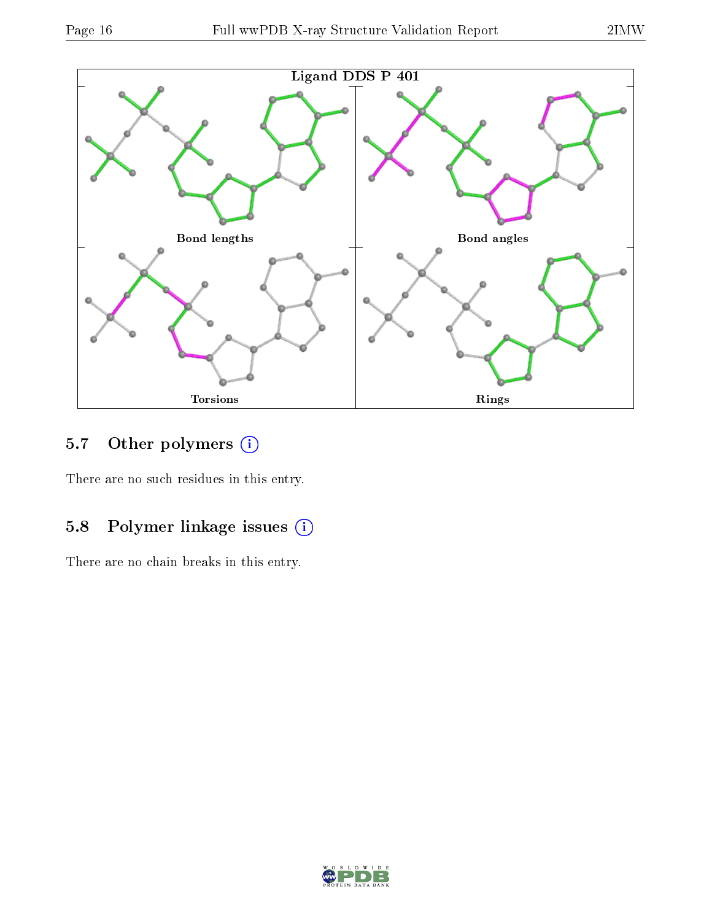

## 5.7 [O](https://www.wwpdb.org/validation/2017/XrayValidationReportHelp#nonstandard_residues_and_ligands)ther polymers (i)

There are no such residues in this entry.

### 5.8 Polymer linkage issues (i)

There are no chain breaks in this entry.

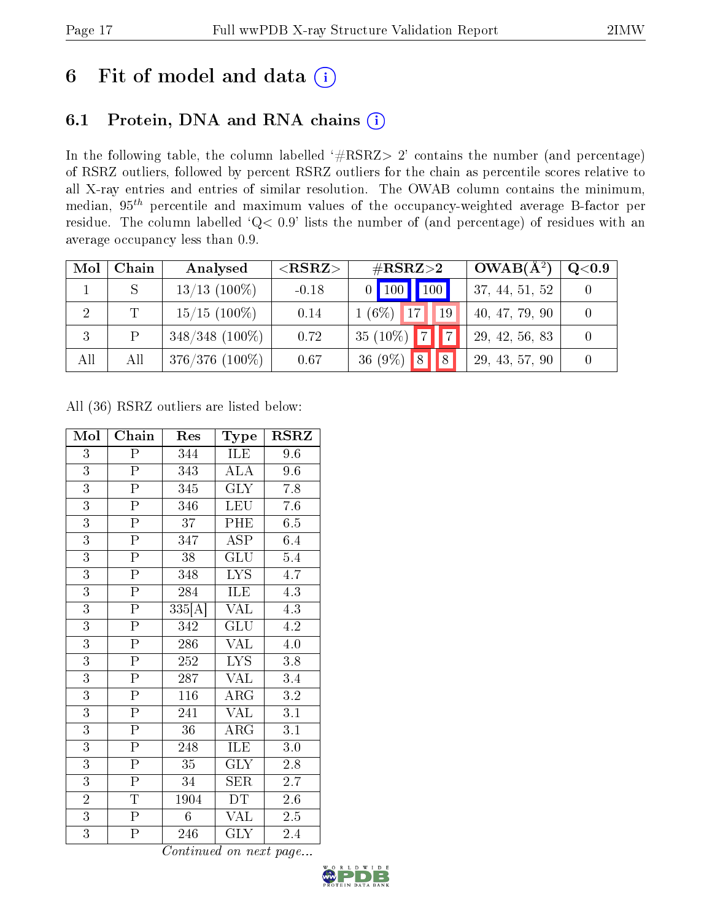## 6 Fit of model and data  $(i)$

### 6.1 Protein, DNA and RNA chains  $(i)$

In the following table, the column labelled  $#RSRZ> 2'$  contains the number (and percentage) of RSRZ outliers, followed by percent RSRZ outliers for the chain as percentile scores relative to all X-ray entries and entries of similar resolution. The OWAB column contains the minimum, median,  $95<sup>th</sup>$  percentile and maximum values of the occupancy-weighted average B-factor per residue. The column labelled ' $Q< 0.9$ ' lists the number of (and percentage) of residues with an average occupancy less than 0.9.

| Mol            | Chain        | Analysed          | ${ <\hspace{-1.5pt}{\mathrm{RSRZ}} \hspace{-1.5pt}>}$ | $\#\text{RSRZ}{>}2$                             | $OWAB(A^2)$    | Q <sub>0.9</sub> |
|----------------|--------------|-------------------|-------------------------------------------------------|-------------------------------------------------|----------------|------------------|
|                |              | $13/13$ (100\%)   | $-0.18$                                               | 100<br>100<br>$\overline{0}$                    | 37, 44, 51, 52 |                  |
| $\overline{2}$ | $\mathbb{T}$ | $15/15$ (100\%)   | 0.14                                                  | $1(6\%)$<br>$\vert$ 19<br>17 <sup>1</sup>       | 40, 47, 79, 90 |                  |
| 3              |              | $348/348$ (100\%) | 0.72                                                  | $\sqrt{7}$<br>$35(10\%)$                        | 29, 42, 56, 83 |                  |
| All            | All          | $376/376$ (100%)  | 0.67                                                  | $\vert 8 \vert$<br>36 $(9\%)$<br>$\overline{R}$ | 29, 43, 57, 90 |                  |

All (36) RSRZ outliers are listed below:

| Mol            | Chain                   | Res              | Type                           | <b>RSRZ</b>      |
|----------------|-------------------------|------------------|--------------------------------|------------------|
| $\overline{3}$ | $\overline{\mathrm{P}}$ | 344              | ILE                            | 9.6              |
| $\overline{3}$ | $\overline{P}$          | 343              | <b>ALA</b>                     | 9.6              |
| $\overline{3}$ | $\overline{\mathrm{P}}$ | 345              | $\overline{\text{GLY}}$        | 7.8              |
| $\overline{3}$ | $\overline{\mathrm{P}}$ | 346              | <b>LEU</b>                     | 7.6              |
| $\overline{3}$ | $\overline{\mathrm{P}}$ | 37               | PHE                            | 6.5              |
| $\overline{3}$ | $\overline{\mathrm{P}}$ | 347              | $\overline{\text{ASP}}$        | 6.4              |
| $\overline{3}$ | $\overline{P}$          | 38               | $\overline{{\rm GLU}}$         | 5.4              |
| $\overline{3}$ | $\overline{P}$          | 348              | <b>LYS</b>                     | 4.7              |
| $\overline{3}$ | $\overline{P}$          | 284              | ILE                            | 4.3              |
| 3              | $\overline{P}$          | 335[A]           | VAL                            | 4.3              |
| $\overline{3}$ | $\overline{P}$          | 342              | GLU                            | 4.2              |
| $\overline{3}$ | $\overline{P}$          | 286              | VAL                            | 4.0              |
| $\overline{3}$ | $\overline{P}$          | 252              | <b>LYS</b>                     | 3.8              |
| $\overline{3}$ | $\overline{P}$          | 287              | VAL                            | 3.4              |
| $\overline{3}$ | $\overline{\mathrm{P}}$ | $\overline{116}$ | <b>ARG</b>                     | $\overline{3.2}$ |
| $\overline{3}$ | $\overline{\mathrm{P}}$ | 241              | <b>VAL</b>                     | 3.1              |
| $\overline{3}$ | $\overline{\mathrm{P}}$ | 36               | <b>ARG</b>                     | 3.1              |
| $\overline{3}$ | $\overline{P}$          | 248              | $\overline{\text{ILE}}$        | 3.0              |
| $\overline{3}$ | $\overline{\mathrm{P}}$ | 35               | GLY                            | 2.8              |
| $\overline{3}$ | $\overline{P}$          | 34               | <b>SER</b>                     | 2.7              |
| $\overline{2}$ | $\overline{T}$          | 1904             | DT.                            | $2.6\,$          |
| $\overline{3}$ | $\overline{P}$          | $6\phantom{.0}$  | VAL                            | 2.5              |
| $\overline{3}$ | $\overline{\mathrm{P}}$ | 246              | $\overline{\text{G}}\text{LY}$ | 2.4              |

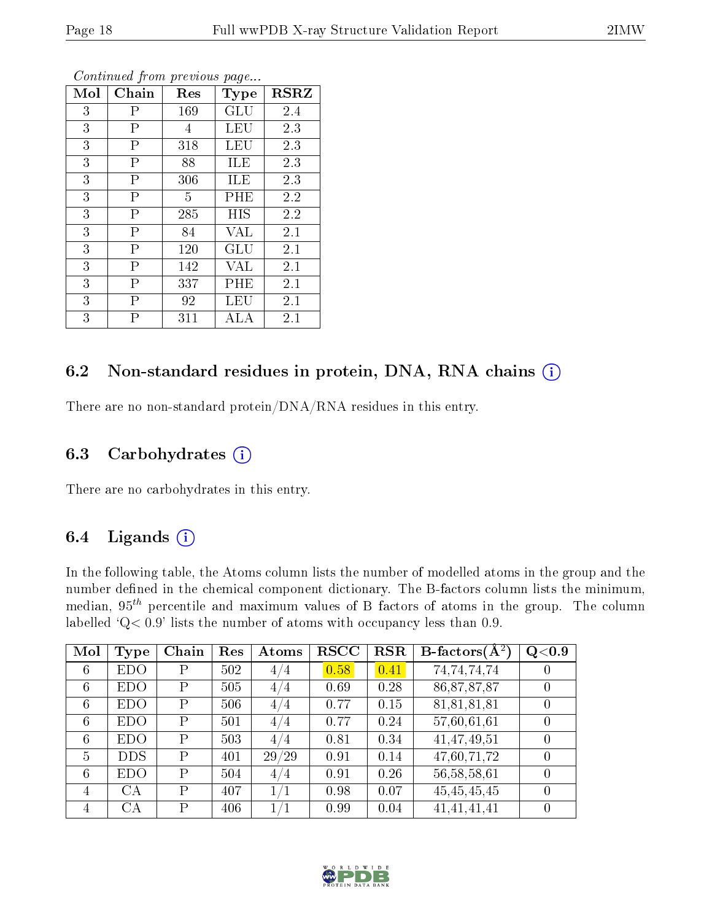| Mol | Chain                   | Res | Type | <b>RSRZ</b> |
|-----|-------------------------|-----|------|-------------|
| 3   | Ρ                       | 169 | GLU  | 2.4         |
| 3   | $\overline{\mathrm{P}}$ | 4   | LEU  | 2.3         |
| 3   | Ρ                       | 318 | LEU  | 2.3         |
| 3   | $\overline{P}$          | 88  | ILE  | 2.3         |
| 3   | $\overline{\mathrm{P}}$ | 306 | ILE  | 2.3         |
| 3   | $\overline{\mathrm{P}}$ | 5   | PHE  | 2.2         |
| 3   | $\overline{P}$          | 285 | HIS  | 2.2         |
| 3   | $\overline{P}$          | 84  | VAL  | 2.1         |
| 3   | $\overline{\mathrm{P}}$ | 120 | GLU  | 2.1         |
| 3   | $\overline{P}$          | 142 | VAL  | 2.1         |
| 3   | $\overline{P}$          | 337 | PHE  | 2.1         |
| 3   | P                       | 92  | LEU  | 2.1         |
| 3   | Р                       | 311 | ALA  | 2.1         |

### 6.2 Non-standard residues in protein, DNA, RNA chains (i)

There are no non-standard protein/DNA/RNA residues in this entry.

#### 6.3 Carbohydrates  $(i)$

There are no carbohydrates in this entry.

#### 6.4 Ligands  $(i)$

In the following table, the Atoms column lists the number of modelled atoms in the group and the number defined in the chemical component dictionary. The B-factors column lists the minimum, median,  $95<sup>th</sup>$  percentile and maximum values of B factors of atoms in the group. The column labelled 'Q< 0.9' lists the number of atoms with occupancy less than 0.9.

| Mol             | <b>Type</b> | Chain        | Res | Atoms | <b>RSCC</b> | <b>RSR</b> | <b>B</b> -factors $\overline{A^2}$ | Q <sub>0.9</sub> |
|-----------------|-------------|--------------|-----|-------|-------------|------------|------------------------------------|------------------|
| 6               | <b>EDO</b>  | Ρ            | 502 | 4/4   | 0.58        | 0.41       | 74,74,74,74                        | $\left( \right)$ |
| $6\phantom{.}6$ | <b>EDO</b>  | Ρ            | 505 | 4/4   | 0.69        | 0.28       | 86, 87, 87, 87                     | $\overline{0}$   |
| 6               | <b>EDO</b>  | $\mathbf{P}$ | 506 | 4/4   | 0.77        | 0.15       | 81,81,81,81                        | 0                |
| 6               | <b>EDO</b>  | P            | 501 | 4/4   | 0.77        | 0.24       | 57,60,61,61                        | $\theta$         |
| $6\phantom{.}6$ | <b>EDO</b>  | P            | 503 | 4/4   | 0.81        | 0.34       | 41,47,49,51                        | $\theta$         |
| 5               | <b>DDS</b>  | $\mathbf{P}$ | 401 | 29/29 | 0.91        | 0.14       | 47,60,71,72                        | $\theta$         |
| 6               | <b>EDO</b>  | Ρ            | 504 | 4/4   | 0.91        | 0.26       | 56,58,58,61                        | $\theta$         |
| $\overline{4}$  | CA          | P            | 407 | 1/1   | 0.98        | 0.07       | 45,45,45,45                        | $\theta$         |
| 4               | СA          | P            | 406 | /1    | 0.99        | 0.04       | 41,41,41,41                        |                  |